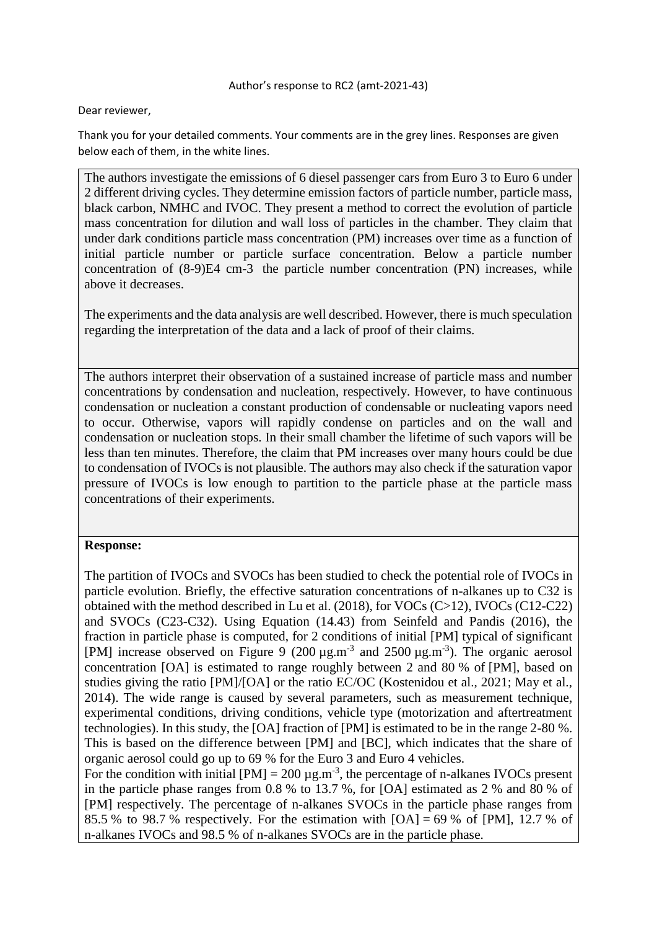Dear reviewer,

Thank you for your detailed comments. Your comments are in the grey lines. Responses are given below each of them, in the white lines.

The authors investigate the emissions of 6 diesel passenger cars from Euro 3 to Euro 6 under 2 different driving cycles. They determine emission factors of particle number, particle mass, black carbon, NMHC and IVOC. They present a method to correct the evolution of particle mass concentration for dilution and wall loss of particles in the chamber. They claim that under dark conditions particle mass concentration (PM) increases over time as a function of initial particle number or particle surface concentration. Below a particle number concentration of (8-9)E4 cm-3 the particle number concentration (PN) increases, while above it decreases.

The experiments and the data analysis are well described. However, there is much speculation regarding the interpretation of the data and a lack of proof of their claims.

The authors interpret their observation of a sustained increase of particle mass and number concentrations by condensation and nucleation, respectively. However, to have continuous condensation or nucleation a constant production of condensable or nucleating vapors need to occur. Otherwise, vapors will rapidly condense on particles and on the wall and condensation or nucleation stops. In their small chamber the lifetime of such vapors will be less than ten minutes. Therefore, the claim that PM increases over many hours could be due to condensation of IVOCs is not plausible. The authors may also check if the saturation vapor pressure of IVOCs is low enough to partition to the particle phase at the particle mass concentrations of their experiments.

### **Response:**

The partition of IVOCs and SVOCs has been studied to check the potential role of IVOCs in particle evolution. Briefly, the effective saturation concentrations of n-alkanes up to C32 is obtained with the method described in Lu et al. (2018), for VOCs (C>12), IVOCs (C12-C22) and SVOCs (C23-C32). Using Equation (14.43) from Seinfeld and Pandis (2016), the fraction in particle phase is computed, for 2 conditions of initial [PM] typical of significant [PM] increase observed on Figure 9  $(200 \,\mu g.m^{-3})$  and  $2500 \,\mu g.m^{-3})$ . The organic aerosol concentration [OA] is estimated to range roughly between 2 and 80 % of [PM], based on studies giving the ratio [PM]/[OA] or the ratio EC/OC (Kostenidou et al., 2021; May et al., 2014). The wide range is caused by several parameters, such as measurement technique, experimental conditions, driving conditions, vehicle type (motorization and aftertreatment technologies). In this study, the [OA] fraction of [PM] is estimated to be in the range 2-80 %. This is based on the difference between [PM] and [BC], which indicates that the share of organic aerosol could go up to 69 % for the Euro 3 and Euro 4 vehicles.

For the condition with initial  $[PM] = 200 \mu g.m^{-3}$ , the percentage of n-alkanes IVOCs present in the particle phase ranges from 0.8 % to 13.7 %, for [OA] estimated as 2 % and 80 % of [PM] respectively. The percentage of n-alkanes SVOCs in the particle phase ranges from 85.5 % to 98.7 % respectively. For the estimation with  $[OA] = 69$  % of  $[PM]$ , 12.7 % of n-alkanes IVOCs and 98.5 % of n-alkanes SVOCs are in the particle phase.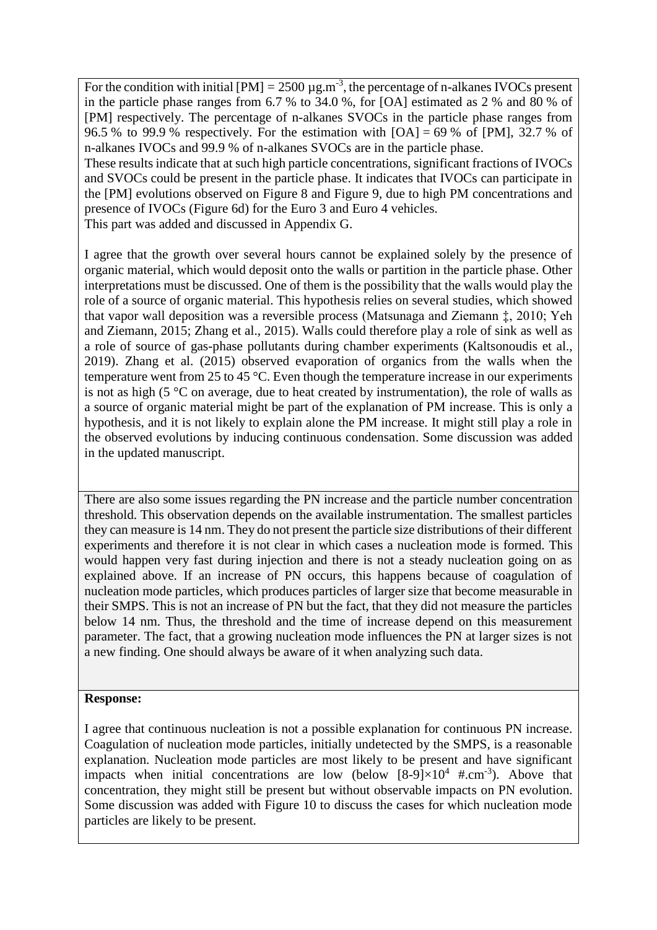For the condition with initial  $[PM] = 2500 \mu g.m^{-3}$ , the percentage of n-alkanes IVOCs present in the particle phase ranges from 6.7 % to 34.0 %, for [OA] estimated as 2 % and 80 % of [PM] respectively. The percentage of n-alkanes SVOCs in the particle phase ranges from 96.5 % to 99.9 % respectively. For the estimation with  $[OA] = 69$  % of  $[PM]$ , 32.7 % of n-alkanes IVOCs and 99.9 % of n-alkanes SVOCs are in the particle phase. These results indicate that at such high particle concentrations, significant fractions of IVOCs

and SVOCs could be present in the particle phase. It indicates that IVOCs can participate in the [PM] evolutions observed on Figure 8 and Figure 9, due to high PM concentrations and presence of IVOCs (Figure 6d) for the Euro 3 and Euro 4 vehicles.

This part was added and discussed in Appendix G.

I agree that the growth over several hours cannot be explained solely by the presence of organic material, which would deposit onto the walls or partition in the particle phase. Other interpretations must be discussed. One of them is the possibility that the walls would play the role of a source of organic material. This hypothesis relies on several studies, which showed that vapor wall deposition was a reversible process (Matsunaga and Ziemann ‡, 2010; Yeh and Ziemann, 2015; Zhang et al., 2015). Walls could therefore play a role of sink as well as a role of source of gas-phase pollutants during chamber experiments (Kaltsonoudis et al., 2019). Zhang et al. (2015) observed evaporation of organics from the walls when the temperature went from 25 to 45 °C. Even though the temperature increase in our experiments is not as high (5 °C on average, due to heat created by instrumentation), the role of walls as a source of organic material might be part of the explanation of PM increase. This is only a hypothesis, and it is not likely to explain alone the PM increase. It might still play a role in the observed evolutions by inducing continuous condensation. Some discussion was added in the updated manuscript.

There are also some issues regarding the PN increase and the particle number concentration threshold. This observation depends on the available instrumentation. The smallest particles they can measure is 14 nm. They do not present the particle size distributions of their different experiments and therefore it is not clear in which cases a nucleation mode is formed. This would happen very fast during injection and there is not a steady nucleation going on as explained above. If an increase of PN occurs, this happens because of coagulation of nucleation mode particles, which produces particles of larger size that become measurable in their SMPS. This is not an increase of PN but the fact, that they did not measure the particles below 14 nm. Thus, the threshold and the time of increase depend on this measurement parameter. The fact, that a growing nucleation mode influences the PN at larger sizes is not a new finding. One should always be aware of it when analyzing such data.

### **Response:**

I agree that continuous nucleation is not a possible explanation for continuous PN increase. Coagulation of nucleation mode particles, initially undetected by the SMPS, is a reasonable explanation. Nucleation mode particles are most likely to be present and have significant impacts when initial concentrations are low (below  $[8-9] \times 10^4$  #.cm<sup>-3</sup>). Above that concentration, they might still be present but without observable impacts on PN evolution. Some discussion was added with Figure 10 to discuss the cases for which nucleation mode particles are likely to be present.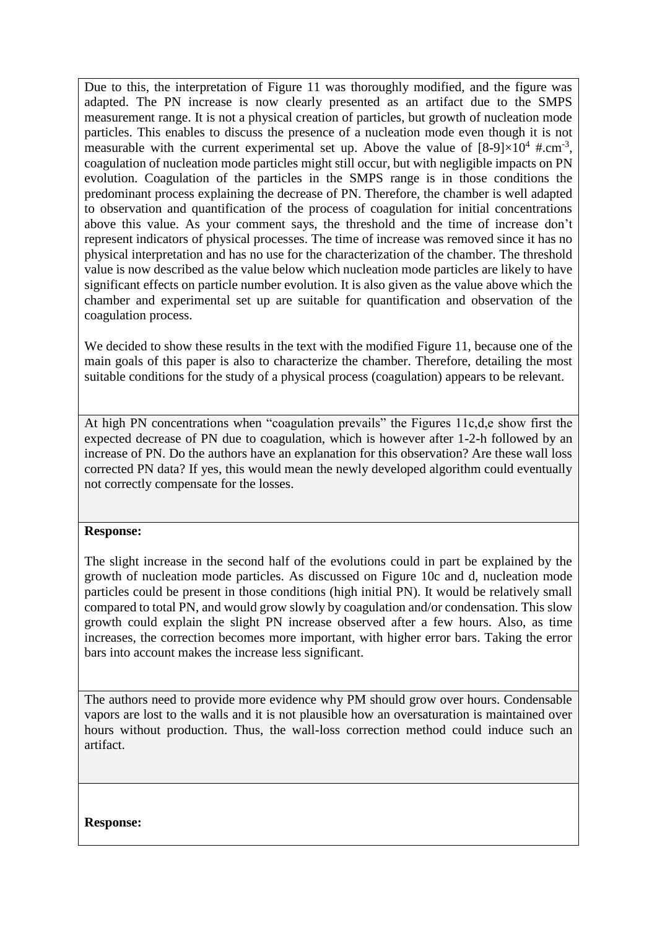Due to this, the interpretation of Figure 11 was thoroughly modified, and the figure was adapted. The PN increase is now clearly presented as an artifact due to the SMPS measurement range. It is not a physical creation of particles, but growth of nucleation mode particles. This enables to discuss the presence of a nucleation mode even though it is not measurable with the current experimental set up. Above the value of  $[8-9] \times 10^4$  #.cm<sup>-3</sup>, coagulation of nucleation mode particles might still occur, but with negligible impacts on PN evolution. Coagulation of the particles in the SMPS range is in those conditions the predominant process explaining the decrease of PN. Therefore, the chamber is well adapted to observation and quantification of the process of coagulation for initial concentrations above this value. As your comment says, the threshold and the time of increase don't represent indicators of physical processes. The time of increase was removed since it has no physical interpretation and has no use for the characterization of the chamber. The threshold value is now described as the value below which nucleation mode particles are likely to have significant effects on particle number evolution. It is also given as the value above which the chamber and experimental set up are suitable for quantification and observation of the coagulation process.

We decided to show these results in the text with the modified Figure 11, because one of the main goals of this paper is also to characterize the chamber. Therefore, detailing the most suitable conditions for the study of a physical process (coagulation) appears to be relevant.

At high PN concentrations when "coagulation prevails" the Figures 11c,d,e show first the expected decrease of PN due to coagulation, which is however after 1-2-h followed by an increase of PN. Do the authors have an explanation for this observation? Are these wall loss corrected PN data? If yes, this would mean the newly developed algorithm could eventually not correctly compensate for the losses.

### **Response:**

The slight increase in the second half of the evolutions could in part be explained by the growth of nucleation mode particles. As discussed on Figure 10c and d, nucleation mode particles could be present in those conditions (high initial PN). It would be relatively small compared to total PN, and would grow slowly by coagulation and/or condensation. This slow growth could explain the slight PN increase observed after a few hours. Also, as time increases, the correction becomes more important, with higher error bars. Taking the error bars into account makes the increase less significant.

The authors need to provide more evidence why PM should grow over hours. Condensable vapors are lost to the walls and it is not plausible how an oversaturation is maintained over hours without production. Thus, the wall-loss correction method could induce such an artifact.

**Response:**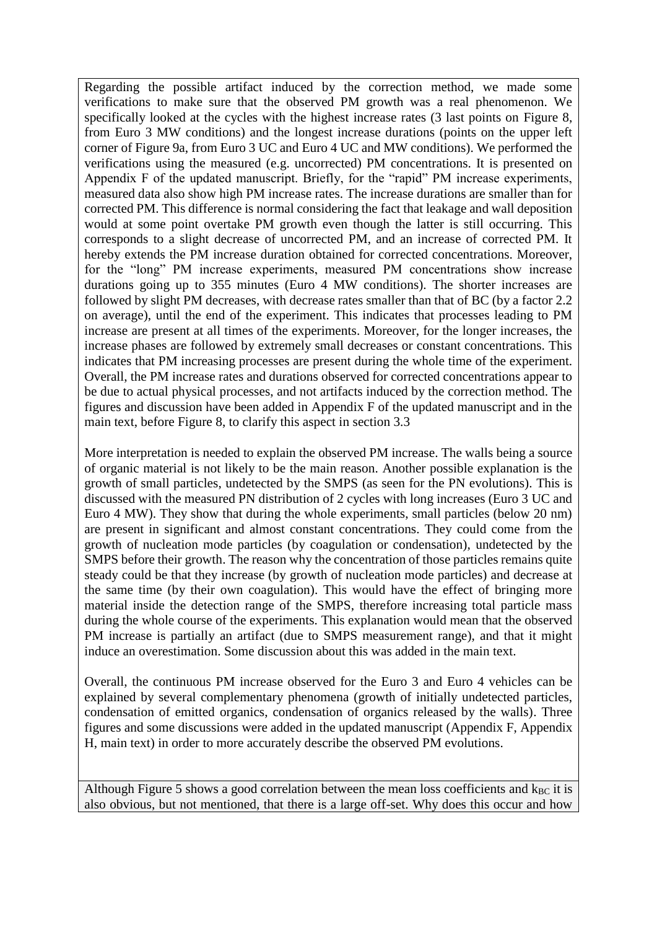Regarding the possible artifact induced by the correction method, we made some verifications to make sure that the observed PM growth was a real phenomenon. We specifically looked at the cycles with the highest increase rates (3 last points on Figure 8, from Euro 3 MW conditions) and the longest increase durations (points on the upper left corner of Figure 9a, from Euro 3 UC and Euro 4 UC and MW conditions). We performed the verifications using the measured (e.g. uncorrected) PM concentrations. It is presented on Appendix F of the updated manuscript. Briefly, for the "rapid" PM increase experiments, measured data also show high PM increase rates. The increase durations are smaller than for corrected PM. This difference is normal considering the fact that leakage and wall deposition would at some point overtake PM growth even though the latter is still occurring. This corresponds to a slight decrease of uncorrected PM, and an increase of corrected PM. It hereby extends the PM increase duration obtained for corrected concentrations. Moreover, for the "long" PM increase experiments, measured PM concentrations show increase durations going up to 355 minutes (Euro 4 MW conditions). The shorter increases are followed by slight PM decreases, with decrease rates smaller than that of BC (by a factor 2.2 on average), until the end of the experiment. This indicates that processes leading to PM increase are present at all times of the experiments. Moreover, for the longer increases, the increase phases are followed by extremely small decreases or constant concentrations. This indicates that PM increasing processes are present during the whole time of the experiment. Overall, the PM increase rates and durations observed for corrected concentrations appear to be due to actual physical processes, and not artifacts induced by the correction method. The figures and discussion have been added in Appendix F of the updated manuscript and in the main text, before Figure 8, to clarify this aspect in section 3.3

More interpretation is needed to explain the observed PM increase. The walls being a source of organic material is not likely to be the main reason. Another possible explanation is the growth of small particles, undetected by the SMPS (as seen for the PN evolutions). This is discussed with the measured PN distribution of 2 cycles with long increases (Euro 3 UC and Euro 4 MW). They show that during the whole experiments, small particles (below 20 nm) are present in significant and almost constant concentrations. They could come from the growth of nucleation mode particles (by coagulation or condensation), undetected by the SMPS before their growth. The reason why the concentration of those particles remains quite steady could be that they increase (by growth of nucleation mode particles) and decrease at the same time (by their own coagulation). This would have the effect of bringing more material inside the detection range of the SMPS, therefore increasing total particle mass during the whole course of the experiments. This explanation would mean that the observed PM increase is partially an artifact (due to SMPS measurement range), and that it might induce an overestimation. Some discussion about this was added in the main text.

Overall, the continuous PM increase observed for the Euro 3 and Euro 4 vehicles can be explained by several complementary phenomena (growth of initially undetected particles, condensation of emitted organics, condensation of organics released by the walls). Three figures and some discussions were added in the updated manuscript (Appendix F, Appendix H, main text) in order to more accurately describe the observed PM evolutions.

Although Figure 5 shows a good correlation between the mean loss coefficients and  $k<sub>BC</sub>$  it is also obvious, but not mentioned, that there is a large off-set. Why does this occur and how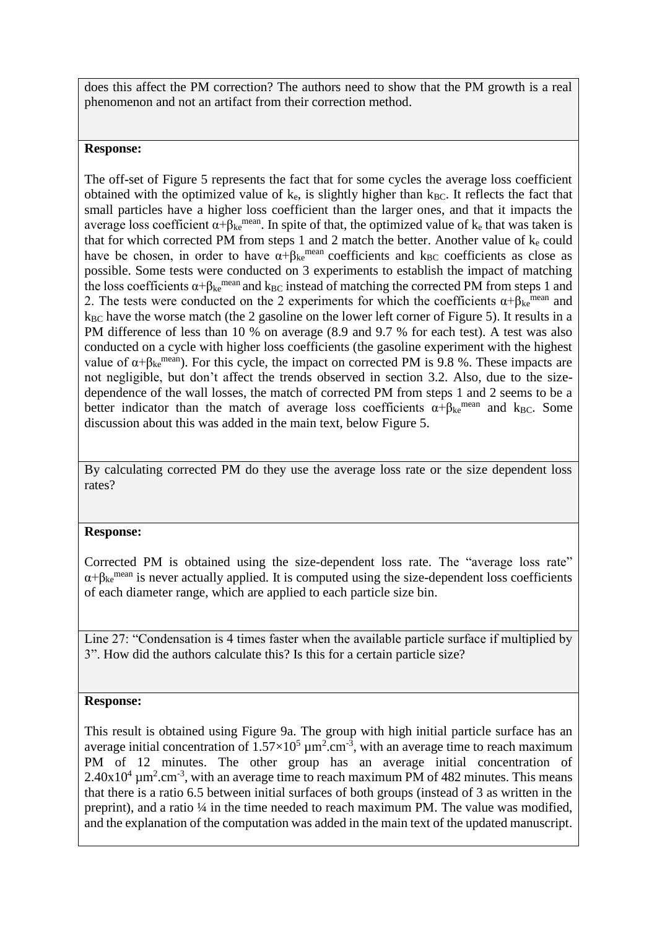does this affect the PM correction? The authors need to show that the PM growth is a real phenomenon and not an artifact from their correction method.

## **Response:**

The off-set of Figure 5 represents the fact that for some cycles the average loss coefficient obtained with the optimized value of  $k_e$ , is slightly higher than  $k_{BC}$ . It reflects the fact that small particles have a higher loss coefficient than the larger ones, and that it impacts the average loss coefficient  $\alpha + \beta_{ke}$ <sup>mean</sup>. In spite of that, the optimized value of k<sub>e</sub> that was taken is that for which corrected PM from steps 1 and 2 match the better. Another value of  $k_e$  could have be chosen, in order to have  $\alpha + \beta_{ke}$ <sup>mean</sup> coefficients and k<sub>BC</sub> coefficients as close as possible. Some tests were conducted on 3 experiments to establish the impact of matching the loss coefficients  $\alpha + \beta_{ke}$ <sup>mean</sup> and k<sub>BC</sub> instead of matching the corrected PM from steps 1 and 2. The tests were conducted on the 2 experiments for which the coefficients  $\alpha + \beta_{\text{ke}}$ <sup>mean</sup> and k<sub>BC</sub> have the worse match (the 2 gasoline on the lower left corner of Figure 5). It results in a PM difference of less than 10 % on average (8.9 and 9.7 % for each test). A test was also conducted on a cycle with higher loss coefficients (the gasoline experiment with the highest value of  $\alpha + \beta_{\text{ke}}^{\text{mean}}$ ). For this cycle, the impact on corrected PM is 9.8 %. These impacts are not negligible, but don't affect the trends observed in section 3.2. Also, due to the sizedependence of the wall losses, the match of corrected PM from steps 1 and 2 seems to be a better indicator than the match of average loss coefficients  $\alpha + \beta_{ke}^{mean}$  and  $k_{BC}$ . Some discussion about this was added in the main text, below Figure 5.

By calculating corrected PM do they use the average loss rate or the size dependent loss rates?

# **Response:**

Corrected PM is obtained using the size-dependent loss rate. The "average loss rate"  $\alpha + \beta_{\rm ke}$ <sup>mean</sup> is never actually applied. It is computed using the size-dependent loss coefficients of each diameter range, which are applied to each particle size bin.

Line 27: "Condensation is 4 times faster when the available particle surface if multiplied by 3". How did the authors calculate this? Is this for a certain particle size?

### **Response:**

This result is obtained using Figure 9a. The group with high initial particle surface has an average initial concentration of  $1.57 \times 10^5 \mu m^2.cm^{-3}$ , with an average time to reach maximum PM of 12 minutes. The other group has an average initial concentration of  $2.40x10^4 \mu m^2.cm^{-3}$ , with an average time to reach maximum PM of 482 minutes. This means that there is a ratio 6.5 between initial surfaces of both groups (instead of 3 as written in the preprint), and a ratio ¼ in the time needed to reach maximum PM. The value was modified, and the explanation of the computation was added in the main text of the updated manuscript.